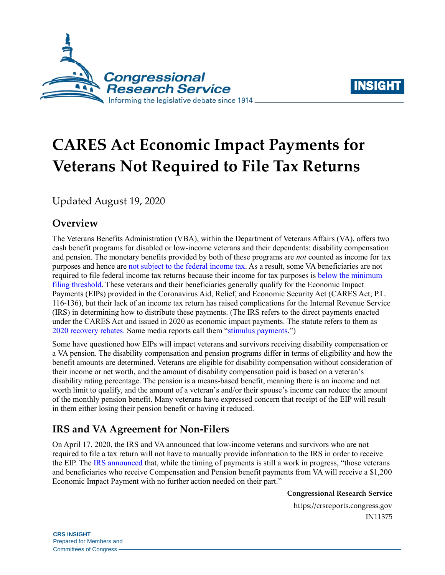



# **CARES Act Economic Impact Payments for Veterans Not Required to File Tax Returns**

Updated August 19, 2020

## **Overview**

The Veterans Benefits Administration (VBA), within the Department of Veterans Affairs (VA), offers two cash benefit programs for disabled or low-income veterans and their dependents: disability compensation and pension. The monetary benefits provided by both of these programs are *not* counted as income for tax purposes and hence are [not subject to the federal income tax.](https://www.irs.gov/publications/p525#en_US_2019_publink1000229272) As a result, some VA beneficiaries are not required to file federal income tax returns because their income for tax purposes is [below the minimum](https://www.irs.gov/publications/p501#en_US_2019_publink1000270109)  [filing threshold.](https://www.irs.gov/publications/p501#en_US_2019_publink1000270109) These veterans and their beneficiaries generally qualify for the Economic Impact Payments (EIPs) provided in the Coronavirus Aid, Relief, and Economic Security Act (CARES Act; [P.L.](http://www.congress.gov/cgi-lis/bdquery/R?d116:FLD002:@1(116+136))  [116-136\)](http://www.congress.gov/cgi-lis/bdquery/R?d116:FLD002:@1(116+136)), but their lack of an income tax return has raised complications for the Internal Revenue Service (IRS) in determining how to distribute these payments. (The IRS refers to the direct payments enacted under the CARES Act and issued in 2020 as economic impact payments. The statute refers to them as [2020 recovery rebates.](https://crsreports.congress.gov/product/pdf/IN/IN11282) Some media reports call them ["stimulus payments.](https://www.wsj.com/articles/everything-you-need-to-know-about-the-payments-from-the-government-11585229988?mod=searchresults&page=1&pos=3)")

Some have questioned how EIPs will impact veterans and survivors receiving disability compensation or a VA pension. The disability compensation and pension programs differ in terms of eligibility and how the benefit amounts are determined. Veterans are eligible for disability compensation without consideration of their income or net worth, and the amount of disability compensation paid is based on a veteran's disability rating percentage. The pension is a means-based benefit, meaning there is an income and net worth limit to qualify, and the amount of a veteran's and/or their spouse's income can reduce the amount of the monthly pension benefit. Many veterans have expressed concern that receipt of the EIP will result in them either losing their pension benefit or having it reduced.

## **IRS and VA Agreement for Non-Filers**

On April 17, 2020, the IRS and VA announced that low-income veterans and survivors who are not required to file a tax return will not have to manually provide information to the IRS in order to receive the EIP. The [IRS announced](https://www.irs.gov/newsroom/veterans-affairs-recipients-will-receive-automatic-economic-impact-payments-step-follows-work-between-treasury-irs-va) that, while the timing of payments is still a work in progress, "those veterans and beneficiaries who receive Compensation and Pension benefit payments from VA will receive a \$1,200 Economic Impact Payment with no further action needed on their part."

**Congressional Research Service**

https://crsreports.congress.gov IN11375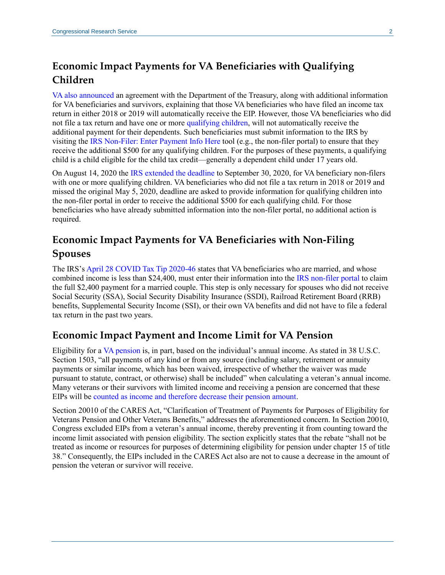## **Economic Impact Payments for VA Beneficiaries with Qualifying Children**

[VA also announced](https://www.va.gov/opa/pressrel/pressrelease.cfm?id=5423) an agreement with the Department of the Treasury, along with additional information for VA beneficiaries and survivors, explaining that those VA beneficiaries who have filed an income tax return in either 2018 or 2019 will automatically receive the EIP. However, those VA beneficiaries who did not file a tax return and have one or more [qualifying](https://www.irs.gov/newsroom/who-can-get-more-economic-impact-payment-money-for-children) children, will not automatically receive the additional payment for their dependents. Such beneficiaries must submit information to the IRS by visiting the [IRS Non-Filer: Enter Payment Info Here](https://www.irs.gov/coronavirus/non-filers-enter-payment-info-here) tool (e.g., the non-filer portal) to ensure that they receive the additional \$500 for any qualifying children. For the purposes of these payments, a qualifying child is a child eligible for the child tax credit—generally a dependent child under 17 years old.

On August 14, 2020 the IRS [extended the deadline](https://www.irs.gov/newsroom/irs-takes-new-steps-to-ensure-people-with-children-receive-500-economic-impact-payments) to September 30, 2020, for VA beneficiary non-filers with one or more qualifying children. VA beneficiaries who did not file a tax return in 2018 or 2019 and missed the original May 5, 2020, deadline are asked to provide information for qualifying children into the non-filer portal in order to receive the additional \$500 for each qualifying child. For those beneficiaries who have already submitted information into the non-filer portal, no additional action is required.

## **Economic Impact Payments for VA Beneficiaries with Non-Filing Spouses**

The IRS's [April 28 COVID Tax Tip 2020-46](https://www.irs.gov/newsroom/who-can-get-more-economic-impact-payment-money-for-children) states that VA beneficiaries who are married, and whose combined income is less than \$24,400, must enter their information into the [IRS non-filer portal](https://www.irs.gov/coronavirus/non-filers-enter-payment-info-here) to claim the full \$2,400 payment for a married couple. This step is only necessary for spouses who did not receive Social Security (SSA), Social Security Disability Insurance (SSDI), Railroad Retirement Board (RRB) benefits, Supplemental Security Income (SSI), or their own VA benefits and did not have to file a federal tax return in the past two years.

#### **Economic Impact Payment and Income Limit for VA Pension**

Eligibility for a [VA pension](https://www.va.gov/pension/eligibility/) is, in part, based on the individual's annual income. As stated in 38 U.S.C. Section 1503, "all payments of any kind or from any source (including salary, retirement or annuity payments or similar income, which has been waived, irrespective of whether the waiver was made pursuant to statute, contract, or otherwise) shall be included" when calculating a veteran's annual income. Many veterans or their survivors with limited income and receiving a pension are concerned that these EIPs will be [counted as income and therefore decrease their pension amount.](https://www.va.gov/pension/veterans-pension-rates/)

Section 20010 of the CARES Act, "Clarification of Treatment of Payments for Purposes of Eligibility for Veterans Pension and Other Veterans Benefits," addresses the aforementioned concern. In Section 20010, Congress excluded EIPs from a veteran's annual income, thereby preventing it from counting toward the income limit associated with pension eligibility. The section explicitly states that the rebate "shall not be treated as income or resources for purposes of determining eligibility for pension under chapter 15 of title 38." Consequently, the EIPs included in the CARES Act also are not to cause a decrease in the amount of pension the veteran or survivor will receive.